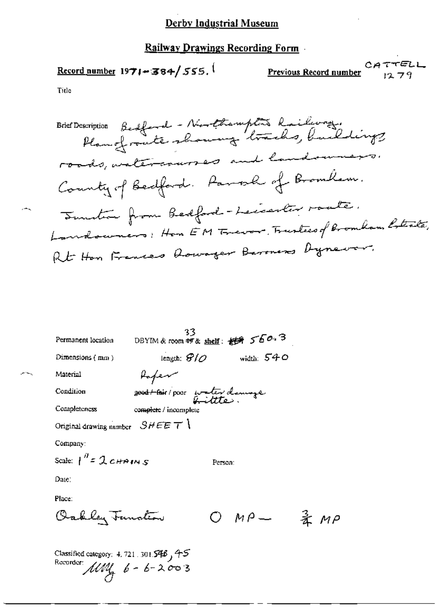#### **Railway Drawings Recording Form**

 $Record number 1971 - 384 / 555.$ </u>

CATTELL Previous Record number 1279

柔 MP

Title

scription Bedford - Northampton Railway.<br>Plan of route showing tracks, buildings **Brief Description** roads, watercourses and landowners. County of Bedford. Paral of Bromlan. Sunction from Bedford-Leccenter roate. Landouners: Hon EM Trever, Trustees of Bromham Rotala, Rt Hon Frences Rowager Barmers Dynewer.

| Permanent location                | 33                                | DBYIM & room #9 & shelf: 授業 560.3 |
|-----------------------------------|-----------------------------------|-----------------------------------|
| Dimensions $(mn)$                 | length: $\mathscr{G}/\mathscr{O}$ | width: $540$                      |
| Material                          | Hapen                             |                                   |
| Condition                         | good to their / poor water damage |                                   |
| Completeness                      | complete / incomplete             |                                   |
| Original drawing number $SHEET$   |                                   |                                   |
| Company:                          |                                   |                                   |
| Scale: $\int_0^B = 2cH^2$ and $S$ |                                   | Person:                           |
| Date:                             |                                   |                                   |
| Place:                            |                                   |                                   |
| Oakley Function                   |                                   | $M \rho$ —                        |
|                                   |                                   |                                   |

Classified category: 4, 721, 301.546, 45 Recorder:  $\mu$ *MM*<sub>4</sub>  $6 - 6 - 2003$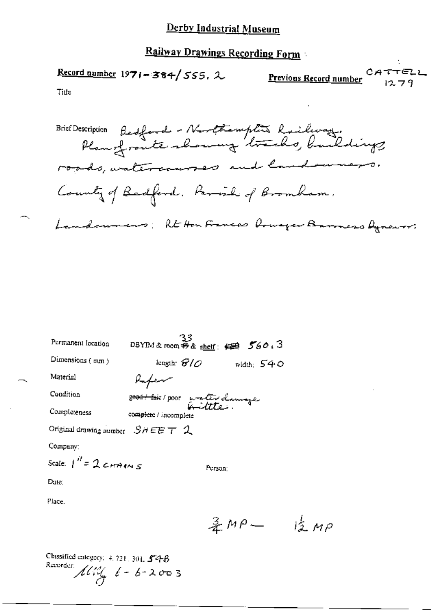# Railway Drawings Recording Form

Record number 1971-384/555, 2

CATTELL Previous Record number  $1279$ 

Title

Brief Description Bedford - Nurthampton Railway,<br>Plan of route showing tracks, buildings roads, watercourses and land uners. County of Badford. Parish of Bromham. Landounars: Rt Hon Frances Orwager Baroneso Ayrenors

| Permanent location                         |                                           | $33$<br>DBYIM&room #8 shelf: $\iff$ 560.3 |
|--------------------------------------------|-------------------------------------------|-------------------------------------------|
| Dimensions (mm)                            | length: $\mathcal{G}/\mathcal{O}$         | width: $540$                              |
| Material                                   | Kafew                                     |                                           |
| Condition                                  | <del>8000/ foi</del> r/poor water clamage |                                           |
| Completeness                               | complete / incomplete                     |                                           |
| Original drawing number $S$ H E E $\tau$ 2 |                                           |                                           |
| Company:                                   |                                           |                                           |
| Scale: $1'' = 2$ changes                   |                                           | Person:                                   |
| Date:                                      |                                           |                                           |
| Place .                                    |                                           |                                           |

 $\frac{3}{4}MP - \frac{1}{2}MP$ 

Classified category: 4, 721, 301, 54B Recorder:  $\pi$  /  $\frac{1}{4}$   $\frac{1}{6}$  -  $\frac{1}{6}$  - 200 3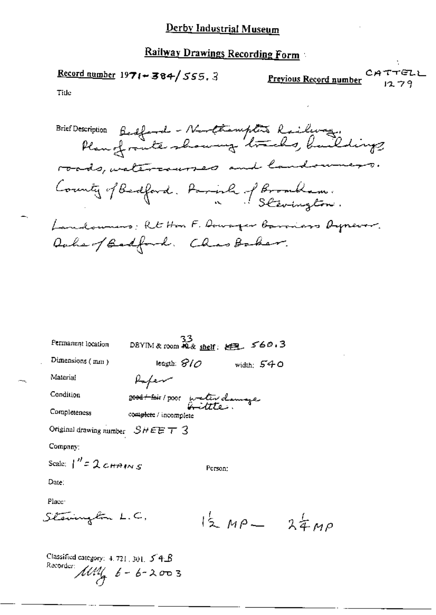# Railway Drawings Recording Form

Record number  $1971 - 384 / 555.3$ 

CATTELL CATTELL

Title

Brief Description Bedford - Northermptis Railway.<br>Plan of route showing tracks, buildings roads, watercourses and landownages. County of Bedford. Parish of Brombam. Landowners: Rt Hon F. Dowager Barriers Oypever. Daher / Badford. Chas Baker.

| Permanent location                | 33<br>DBYIM & room $\widetilde{A2}$ & shelf: $\underset{ }{\leq}$ 560.3 |         |                 |  |
|-----------------------------------|-------------------------------------------------------------------------|---------|-----------------|--|
| Dimensions (mm)                   | leagth: $\mathcal{S}/\mathcal{O}$                                       |         | width: $540$    |  |
| Material                          | Kafew                                                                   |         |                 |  |
| Condition                         | 2004 + Poir / poor wester clemage                                       |         |                 |  |
| Completeness                      | complete / incomplete                                                   |         |                 |  |
| Original drawing number $SHEET$ 3 |                                                                         |         |                 |  |
| Company:                          |                                                                         |         |                 |  |
| Scale: $1'' = 2c_{HAINS}$         |                                                                         | Person: |                 |  |
| Date:                             |                                                                         |         |                 |  |
| Place:                            |                                                                         |         |                 |  |
| Stevingbin L.C,                   |                                                                         |         | $12 MP - 24 MP$ |  |

Classified category:  $4.721,301$ ,  $5.4B$ Recorder:  $\widehat{\text{111}}$   $6 - 6 - 2003$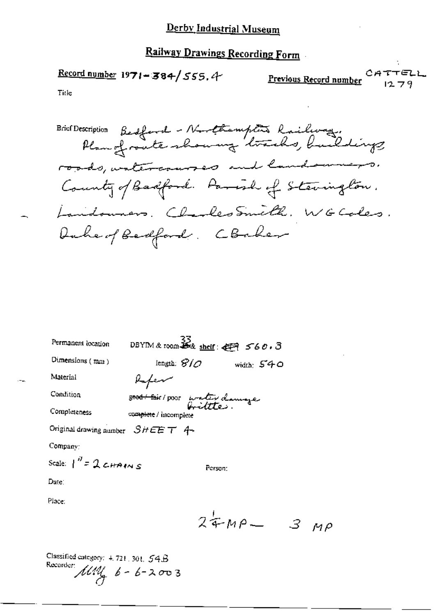$$
\frac{\text{Record number}}{197! - 384} / 555.4
$$

**Previous Record number** CATTELL

Title

Brief Description Bedford - Northampton's Railway.<br>Plan of route showing tracks, buildings roads, watercourses and landowners. County of Badford. Parish of Stevington. Landouners. Charles Smith. WG Coles. Duke of Bedford, CBaker

| Permanent location                 | DBYIM & room $\frac{33}{28}$ shelf: $\leftarrow$ 560.3 |         |
|------------------------------------|--------------------------------------------------------|---------|
| Dimensions $(mn)$                  | lengin: $\mathcal{S}/\mathcal{O}$<br>width: $540$      |         |
| Material                           | Rafen                                                  |         |
| Condition                          | 5000 fair / poor water clamage                         |         |
| Completeness                       | complete / incomplete                                  |         |
| Original drawing number $SHEET$ 4~ |                                                        |         |
| Company:                           |                                                        |         |
| Scale: $1'' = 2$ CHAINS            | Person:                                                |         |
| Date:                              |                                                        |         |
| Place:                             |                                                        |         |
|                                    | $24MP -$                                               | 3<br>MP |

Classified entegory: 4, 721, 301, 54B Recorder:  $\text{1001}$   $6 - 6 - 2003$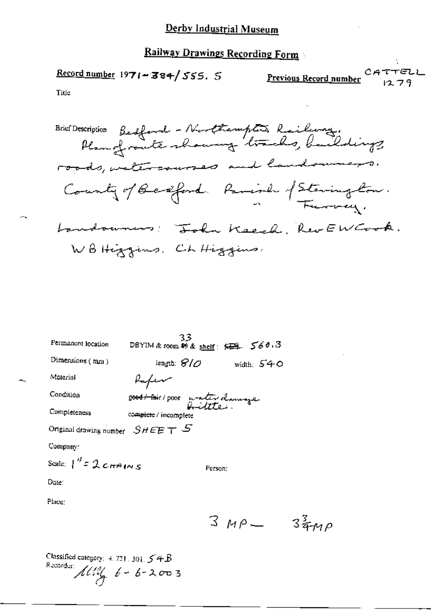$\frac{\text{Record number}}{1971 - 384}$  555. 5 CATTELL Previous Record number  $1279$ 

Title

Brief Description Bedford - Northampton Railway.<br>Plan of route showing tracks, buildings. County of Bedford. Parish of Staring Con. Landowners: John Keech, RevEW Cook. WB Higgins. Ch Higgins.

| Permanent location               | 33<br>DBYIM&room 80& <u>shelf</u> : <del>紅斗</del> 5603 |              |
|----------------------------------|--------------------------------------------------------|--------------|
| Dimensions (mm)                  | length: $\mathcal{G}/\mathcal{O}$                      | width: $540$ |
| Material                         | Rafen                                                  |              |
| Condition                        | sood + foir / poor water damage                        |              |
| Completeness                     | complete / incomplete                                  |              |
| Original drawing number $SHEETS$ |                                                        |              |
| Company:                         |                                                        |              |
| Scale: $1''$ = 2 cHAINS          | Person:                                                |              |
| Date:                            |                                                        |              |
| Place:                           |                                                        |              |

 $3 M\rho = 3\frac{3}{4}M\rho$ 

Classified category:  $4.721.301.54B$ Recorder:  $\pi$   $\frac{1}{4}$   $6 - 6 - 2003$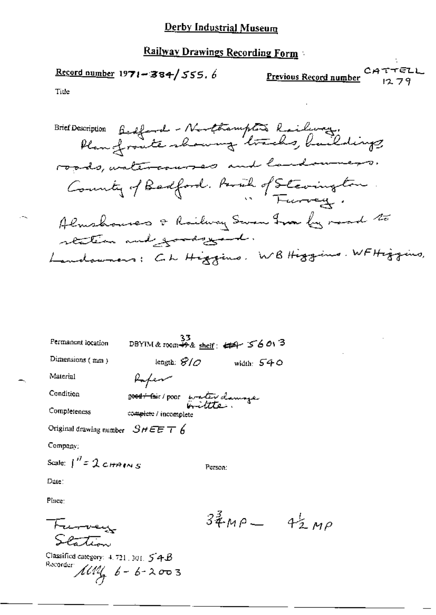Railway Drawings Recording Form

$$
\underline{\text{Record number 1971} - 384} / 555.6
$$

CATTELL<br>Previous Record number 1070

Title

Brief Description Badford - Northampton Railway.<br>Plan fronte rhowing tracks, buildings. roads, untercourses and landowners. County of Badford. Paral of Stevington Almshouses & Railway Swam Iron by mood to station and goods your. Landowners: Ch Higgins, WB Higgins, WFHiggins,

| Permanent location               | 33.<br>DBYIM & room +5 & shelf: 444 56013   |              |
|----------------------------------|---------------------------------------------|--------------|
| Dimensions (mm)                  | length: $\mathcal{S}/\mathcal{O}$           | width: $540$ |
| Material                         | Rafen                                       |              |
| Condition                        | 2 <del>004/ Pai</del> r/ PODI water clamaze |              |
| Completeness                     | complete / incomplete                       |              |
| Original drawing number $SHEET6$ |                                             |              |
| Company:                         |                                             |              |
| Scale: $\int_0^B = 2c$ HA(N S    | Person:                                     |              |
| Date:                            |                                             |              |
| Please a                         |                                             |              |

Furvey  $S$ entin

Classified category:  $4.721,301$ ,  $54B$ Recorder  $\mu$   $\mu$   $\phi$  -  $\phi$  - 2  $\sigma$  0 3

 $34^{3}$ MP  $4^{1}_{2}$ MP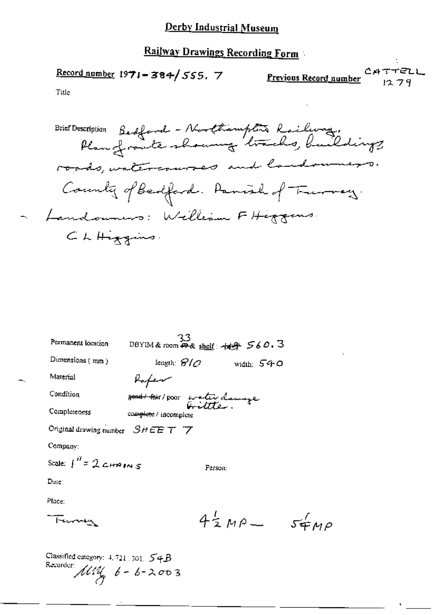Railway Drawings Recording Form

Record number  $1971 - 384 / 555$ . 7

Previous Record number 1279

 $54\mu\rho$ 

Title

Brief Description Bedford - Northampton Railway.<br>Plan of route showing tracks, buildings. roads, watercourses and landowners. County of Bedford. Panish of Trumey. - Landowners: William FHiggens. CLHiggins.

| Permanent location                   | 33<br>DBYIM&room <del>の&amp;</del> shelf: + <del>keg</del> 560.3 |                       |            |
|--------------------------------------|------------------------------------------------------------------|-----------------------|------------|
| Dimensions $(mn)$                    | length: $\mathcal{G}/\mathcal{O}$                                |                       | width: 540 |
| Material                             | Kafew                                                            |                       |            |
| Condition                            | <del>8904/hi</del> r/poor waterdamye                             |                       |            |
| Completeness                         | complete / incomplete                                            |                       |            |
| Original drawing number $S$ HEETT    |                                                                  |                       |            |
| Company:                             |                                                                  |                       |            |
| Scale: $\int^H z \mathcal{Q}$ chains |                                                                  | Person:               |            |
| Duie :                               |                                                                  |                       |            |
| Place:                               |                                                                  |                       |            |
| -<br>Ferman                          |                                                                  | $4\frac{1}{2}$ MP $-$ |            |
|                                      |                                                                  |                       |            |

Classified category:  $4.721.301.54B$ Recorder:  $144$ ,  $6 - 6 - 2003$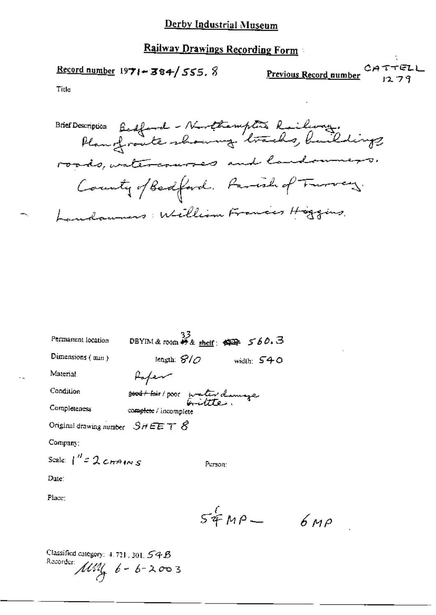## **Railway Drawings Recording Form**

**Record number 1971-384/555. 8** 

CATTELL Previous Record number

1279

Title

Brief Description Bedford - Northemptis Railway.<br>Plan of route showing tracks, buildings roads, watercourses and landowners. County of Bedford. Family of Trures Landowners: William Frances Higgins

| Permanent focation                      | $\frac{33}{28}$ DBYIM&room $\frac{33}{28}$ sheif: $\frac{423}{28}$ 560.3 |              |
|-----------------------------------------|--------------------------------------------------------------------------|--------------|
| Dimensions (min)                        | tength: $\mathcal{G}/\mathcal{O}$                                        | width: $540$ |
| Material                                | Hapen                                                                    |              |
| Condition                               | <del>8000/ k</del> ir/poor inater demage                                 |              |
| Completeness                            | complete / incomplete                                                    |              |
| Original drawing number $S$ $H E E T S$ |                                                                          |              |
| Company:                                |                                                                          |              |
| Scale: $1'' = 2cmAnss$                  | Person:                                                                  |              |
| Dute:                                   |                                                                          |              |
|                                         |                                                                          |              |

Place:

 $54MP 6 \mu \rho$ 

Classified category:  $4.721$ , 301,  $54B$ Recorder:  $\frac{1}{4}$  6 - 6 - 2003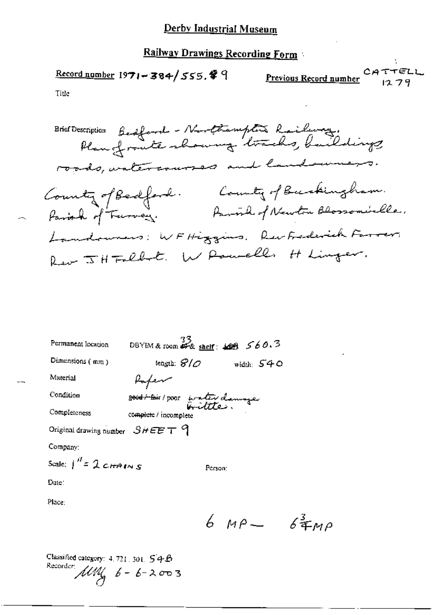$\frac{\text{Record number}}{1971 - 384}$  555.  $4$  9

CATTELL<br>Previous Record number

Title

Brief Description Bedford - Northempton Railway.<br>Plan of route showing tracks, buildings roads, watercourses and land uners. County of Bedford. County of Buckingham.<br>- Parish of Turvey. Partih of Newton Blossomickle. Landowners: WFHiggins, Rev Frederick Farrer, Rev JH Fallet. W Powells H Linger.

| Permanent location                        | DBYIM & room $\frac{33}{47}$ & shelf: $\frac{1009}{400}$ 560.3 |              |
|-------------------------------------------|----------------------------------------------------------------|--------------|
| Dimensions $(mn)$                         | tength: $\mathcal{B}/\mathcal{O}$                              | width: $540$ |
| Маterial                                  | Rafem                                                          |              |
| Condition                                 | good + toir / poor water clamage                               |              |
| Completeness                              | complete / incomplete                                          |              |
| Original drawing number $SHEET$ $9$       |                                                                |              |
| Company:                                  |                                                                |              |
| Scale: $\int^{\prime\prime}$ = 2 c HAIN S | Person:                                                        |              |
| Date:                                     |                                                                |              |
| Place:                                    |                                                                |              |

6  $MP - 6400$ 

Classified category: 4, 721, 301, 54B Recorder:  $\text{MW}_{\mathcal{A}}$   $6 - 6 - 2003$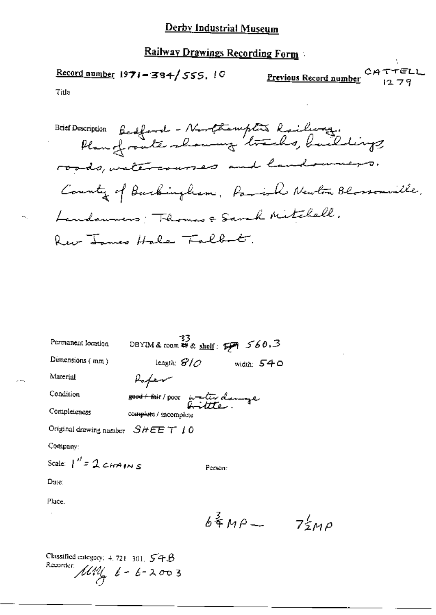Railway Drawings Recording Form

 $CATTELL$ <br> $12.79$ Record number  $1971 - 384 / 555$ ,  $10$ <u>Previous Record number</u> Title

l,

t.

| Permanent location                  | DBYIM&room ## & shelf: $\mathcal{F}$ 560.3 |              |
|-------------------------------------|--------------------------------------------|--------------|
| Dimensions (mm)                     | length: $\mathcal{G}/\mathcal{O}$          | width: $540$ |
| Material                            | Rapen                                      |              |
| Condition                           | <del>good (fai</del> r / poor water demage |              |
| Completeness                        | complete / incomplete                      |              |
| Original drawing number $SHEET$ 1.0 |                                            |              |
| Company:                            |                                            |              |
| Scale: $1'' = 2 cmA/mS$             |                                            | Person:      |
| Dure:                               |                                            |              |
|                                     |                                            |              |

Place.

 $\bar{z}$ 

 $\mathbb{H}_{\mathcal{N}_2}$ 

 $\overline{a}$ 

 $6\frac{3}{4}MP - 7\frac{1}{2MP}$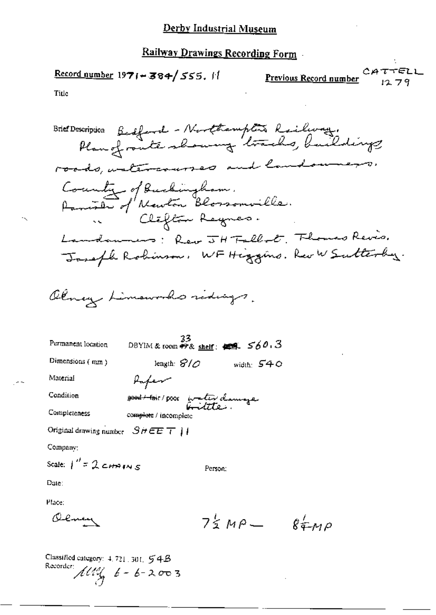$$
\underline{\text{Record number 1971} + 384} / 555. \text{ H}
$$

Previous Record number

Title

Brief Description Bedford - Northampton Railway.<br>Plan of route showing tracks, buildings roads, ustercourses and landowners. County of Buckingham.<br>Panish of Newton Blossomville. Landonnes: Rev JH Falled, Flomes Revis. Joseph Robinson, WF Higgins. Rev W Sutterby. Olney Limoworks ridings. DBYIM & room #9& shelf:  $\overline{429}$   $560.3$ Permanent location Dimensions (mm) length:  $\mathcal{S}/\mathcal{O}$  width:  $\mathcal{S}40$ Material Paper Condition 2<del>000 / tai</del>r / poor water clamaze Completeness complete / incomplete Original drawing number  $SHEET$  | | Company: Scale:  $1'' = 2$  cHAINS Person: Dute: Place: Olmey  $75MP - 86MP$ 

Classified category: 4, 721, 301, 54B Recorder:  $\pi$   $\frac{1}{2}$   $\frac{1}{2}$   $\frac{1}{2}$  -  $\frac{1}{2}$  -  $\frac{1}{2}$  -  $\frac{1}{2}$  -  $\frac{1}{2}$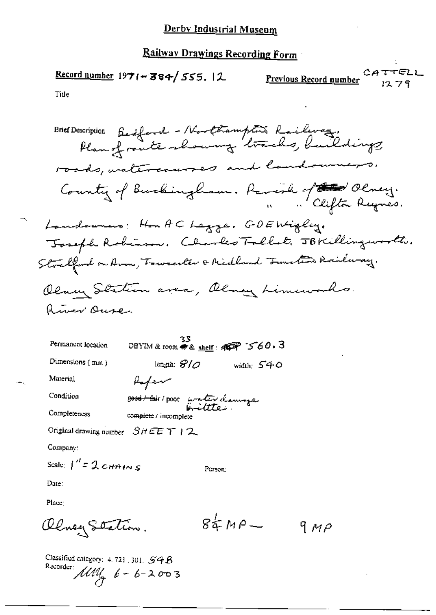$\frac{\text{Record number}}{1971 - 384}$  555. 12

CATTELL Previous Record number

Title

Brief Description Bestfand - Northampton Railway.<br>Plan of route showing tracks, buildings. roads, untercourses and landowners. County of Burkingham. Parent of the Olney. Landounes: Hon AC Lagge. GDEWigley. Toseph Robinson. Charles Tallat. JBKillingworth. Stralford on Aron, Towardter & Midland Turkin Rouleray. Olmey Station avea, Olmey Limeworks. Ruer Ouse 33<br>DBYIM & room 带& <u>shelf</u>: **@@@P** ~5~60.3 Permanent location Dimensions (nun) length:  $\mathcal{S}/\mathcal{O}$ width:  $540$ Material Rafem Condition 2000 Host / poor water clanings Completeness complete / incomplete Original drawing number  $SHEET$  | 2 Company: Scale:  $\int'' z \mathcal{L} + n \mu \leq s$ Person: Date: Place:  $84H^2$ Olney Station. 9 M P

Classified category:  $4.721$ , 301.  $54B$ Recorder:  $\hat{\mu}$  /  $\hat{b}$  -  $\hat{b}$  - 2003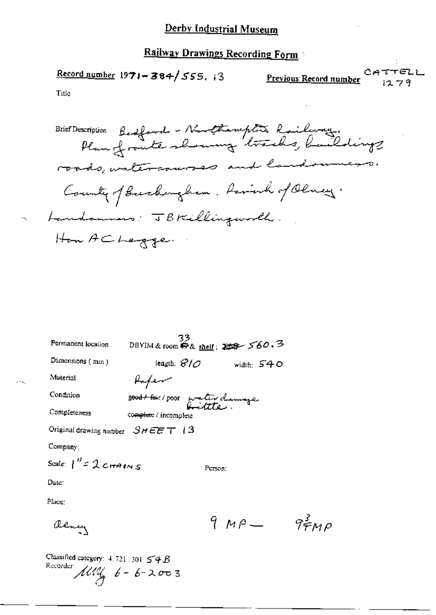Record number  $1971 - 384 / 555$ , 13

CATTELL Previous Record number  $1279$ 

Title

Brief Description Bedford - Northermptis Railway.<br>Plan of route showing tracks, buildings roads, watercourses and landowners. County of Burkingham. Rainh of Olney. Landamens: JBKillingworth. How ACLegge.

|                                     | 33                                          |         |              |      |
|-------------------------------------|---------------------------------------------|---------|--------------|------|
| Permanent location                  | DBYIM & room <i>中&amp; shelf</i> : 石字 560.3 |         |              |      |
| Dimensions $(mn)$                   | length: $\mathcal{G}/\mathcal{O}$           |         | width: $540$ |      |
| Material                            | Kafem                                       |         |              |      |
| Condition                           | 8000+ foir/poor water clamage               |         |              |      |
| Completeness                        | complete / incomplete                       |         |              |      |
| Original drawing number $SHEET$   3 |                                             |         |              |      |
| $Compaay$ :                         |                                             |         |              |      |
| Scale: $1'' = 2 cmMNS$              |                                             | Person: |              |      |
| Date:                               |                                             |         |              |      |
| Place:                              |                                             |         |              |      |
|                                     |                                             |         | 9 MP —       | 9440 |

Classified category:  $4.721.301 \leq 4B$ Recorder  $\mu u_{4}$  6 - 6 - 2003

alency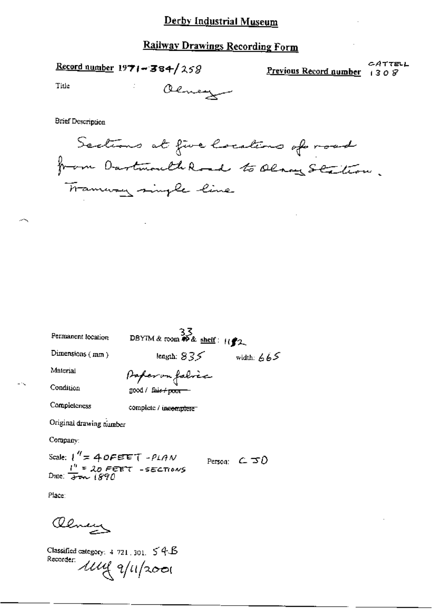$Record number 1971 - 384/258$ </u>

CATTELL Previous Record number  $1308$ 

Title

Olmey

**Brief Description** 

Sections at five locations of road from Dartmouth Road to Olaves Station. Trammany single line

| Permanent location                                                           | DBYIM & room $\stackrel{5}{\leftrightarrow}$ shelf: $\frac{1}{2}$ |                       |
|------------------------------------------------------------------------------|-------------------------------------------------------------------|-----------------------|
| Dimensions (mm)                                                              | length: $835$                                                     | width: $665$          |
| Material                                                                     | Paper on falvic                                                   |                       |
| Condition                                                                    | good / fair <del>/ poor =</del>                                   |                       |
| Completeness                                                                 | complete / incomplete                                             |                       |
| Original drawing number                                                      |                                                                   |                       |
| Company:                                                                     |                                                                   |                       |
| Scale: $1'' = 40$ FEET - PLAN<br>Date: $\frac{1''}{27} = 20$ FEET - SECTIONS |                                                                   | Person: $C \subset D$ |
|                                                                              |                                                                   |                       |

 $\sim$   $\sim$ 

Place:

aleneys

Classified category:  $4.721$ , 301,  $54.6$ Recorder lilly 9/11/2001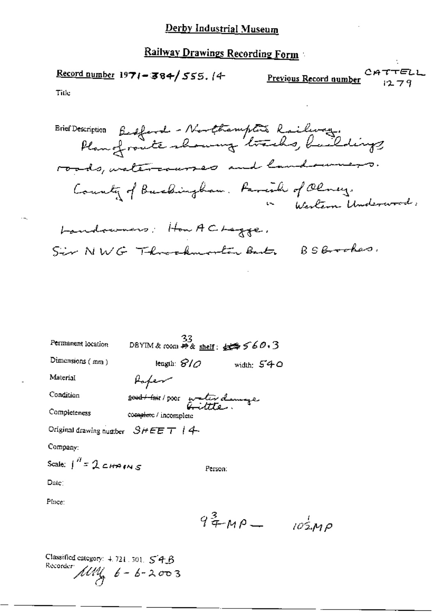CATTELL Record number 1971-384/555. (4 Previous Record number  $1279$ 

Title

Brief Description Bestford - Northampton Railway.<br>Plan of route showing tracks, buildings roads, valercauses and landowners. County of Buchingham. Favorile of Olney.<br>Western Underwood:

Landowners: How ACLegge. Sir NWG Throohundin Bart BSBrooker.

| Permanent location                   | 33                                      | DBYIM&room <i>再&amp; shelf: 妊</i> 母 560,3 |
|--------------------------------------|-----------------------------------------|-------------------------------------------|
| Dimensions $(mn)$                    | length: $\mathcal{S}/\mathcal{O}$       | width: $540$                              |
| Material                             | Rofer                                   |                                           |
| Condition                            | <del>sood to</del> ir poor water damage |                                           |
| Completeness                         | complete / incomplete                   |                                           |
| Original drawing number $SHEET$   4- |                                         |                                           |
| Company:                             |                                         |                                           |
| Scale: $\int_0^H = 2$ chains         |                                         | Person:                                   |
| Date:                                |                                         |                                           |

Place:

 $9^3$   $+$   $M$   $P$   $10^4$   $M$  $P$ 

Classified category: 4, 721, 301, 54B Recorder  $\text{MW}_{\mathbf{A}}$   $6 - 6 - 2003$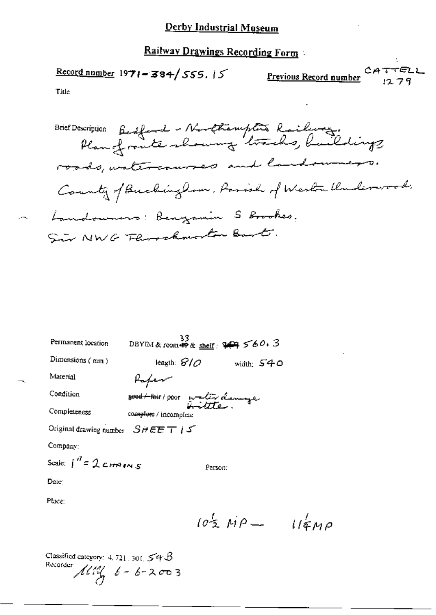Railway Drawings Recording Form

 $\frac{\text{Record number}}{1971 - 384}$  555.15

**CATTELL**<br>Previous Record number

Title

Brief Description Bedford - Northerupture Railway.<br>Plan of route showing tracks, buildings roads, watercourses and landowners. County of Buckingham, Parish of Wester Underwood. Landowners: Benyamin S Brookes. Sir NWG Florackmorton Bart.

| Permanent location                    | 33<br>DBYIM & room $45$ & shelf: $74$ $560.3$ |              |
|---------------------------------------|-----------------------------------------------|--------------|
| Dimensions $(mn)$                     | leagth: $\partial/\partial$                   | width: $540$ |
| Material                              | Kafem                                         |              |
| Condition                             | good their poor water demage                  |              |
| Completeness                          | complete / incomplete                         |              |
| Original drawing number $SHEET$ i $S$ |                                               |              |
| Company:                              |                                               |              |
| Scale: $\int_0^H = 2cH^2 \cos s$      | Person:                                       |              |
| Date:                                 |                                               |              |
| Place:                                |                                               |              |

 $10\frac{1}{2}MP - 11\frac{1}{4}MP$ 

Classified category:  $4.721$ ,  $301$ ,  $54$   $\beta$ Recorder  $\mathcal{M}^{eq}_{\mathcal{A}}$   $6 - 6 - 2003$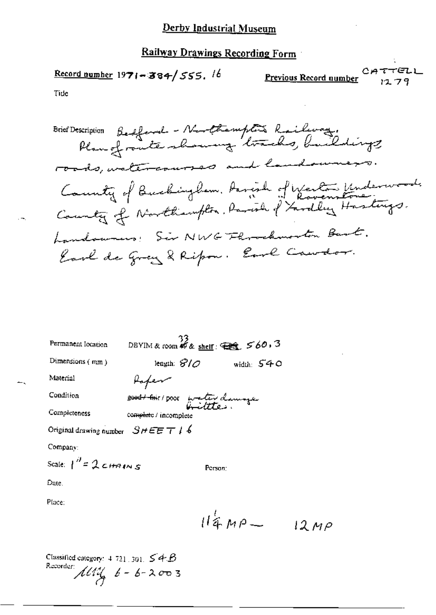$P$ revious Record number<br>Previous Record number

Tide

Brief Description Bedford - Northempton Railway.<br>Plan of route showing tracks, buildings roads, watercourses and landowners. County of Buchingham, Arrish of Western Underwood.<br>County of Northampton, Parish of Yardley Hastings. Landowners: Sir NWG Florockmorton Bart. Earl de Grey & Ripon. Earl Caudor.

| Permanent location                | $\frac{33}{28}$ DBYIM & room \$ & shelf: $\bigoplus$ 560.3 |              |
|-----------------------------------|------------------------------------------------------------|--------------|
| Dimensions (mm)                   | length: $\mathcal{G}/\mathcal{O}$                          | width: $540$ |
| Material                          | Hafer                                                      |              |
| Condition                         | <del>8000/hi</del> t/poot water damoge                     |              |
| Completeness                      | complete / incomplete                                      |              |
| Original drawing number $SHEETI6$ |                                                            |              |
| Company:                          |                                                            |              |
| Scale: $\int_0^b = 2c$ HAINS      |                                                            | Person:      |
| Date.                             |                                                            |              |
| Place:                            |                                                            |              |

 $114MP 12MP$ 

Classified category:  $4.721 \pm 301$ ,  $\leq 4.6$ Recorder:  $\mathcal{M}^{2/3}$   $6 - 6 - 2003$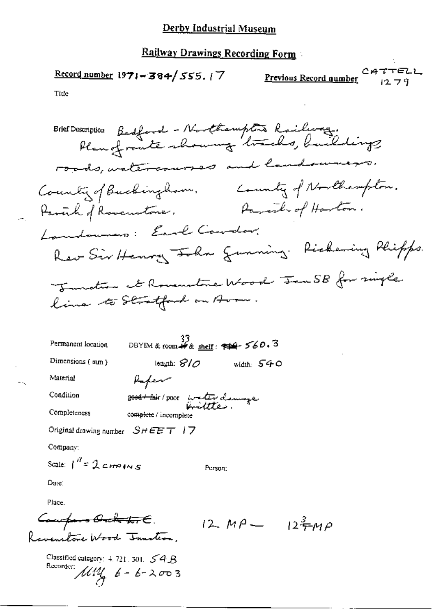Record number  $1971 - 384 / 555.77$ 

CATTELL Previous Record number  $1279$ 

Tiue

| Brief Description Bedford - Northampton Railway.<br>Plan of route showing tracks, buildings |
|---------------------------------------------------------------------------------------------|
| roads, watercourses and landowners.                                                         |
| County of Northampton.<br>County of Buckingham.                                             |
| Parent of Harton.<br>Havenhof Rovenstone.                                                   |
| Landounes: Earl Courtor.                                                                    |
| Rev Sir Henry John gunning. Richering Phipps.                                               |
| Tunction at Rouenstone Wood Jen SB for single                                               |
| line to Stratford on Arou.                                                                  |
|                                                                                             |

DBYIM & room # & shelf:  $#4$ -560.3 Permanent location Dimensions (mm) length:  $8/0$  width:  $540$ Material Refer Condition 2004 + Bir/poor water dannage Completeness complete / incomplete Original drawing number  $S H E E T + 7$ 

Company:

Ш.

Scale:  $\int_0^H = 2 \cosh \theta$ 

Date:

Place.

- Composo <del>Orch I. C</del>.<br>Ravenstone Wood Junton.  $12 M\rho = 12\frac{3}{7}MP$ 

Person:

Classified category:  $4.721$ ,  $301$ ,  $54B$ Recorder:  $114$   $6 - 6 - 2003$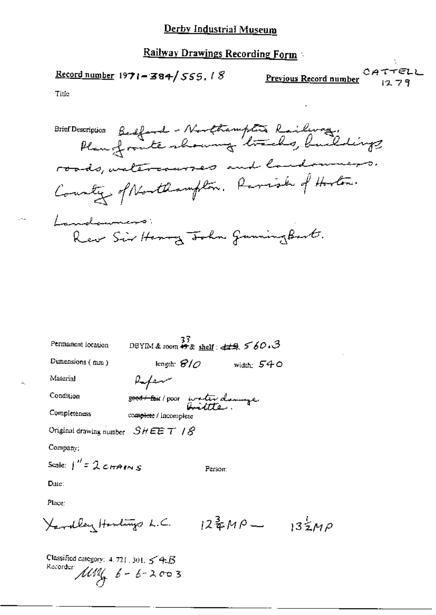$\frac{\text{Record number}}{3971 - 384}$  555.18

Previous Record number  $1279$ 

TELL

Title

Brief Description Bedford - Northampton Railway, roads, valercauses and landowners. Country of Northampton. Parish of Hoston. Landewners Rew Sir Henry John GunningBart.

DBYIM & room  $\stackrel{37}{\bullet\bullet\bullet\bullet}$  shelf:  $\stackrel{44}{\bullet\bullet\bullet}$  560.3 Permanent location Dimensions (mm) length:  $\mathcal{C}/\mathcal{O}$  width:  $\mathcal{S}40$ Material Rafen 30001 Fair / poor water design Condition Completeness complete / incomplete Original drawing number  $SHEET$  /  $S$ Company: Scale:  $\int'' z \mathcal{L} t \pi A t \wedge s$ Person: Date: Place:  $X$ ardley Harlings L.C.  $12\frac{3}{4}MP - 13\frac{1}{2}MP$ 

Classified category:  $4.721$ , 301,  $54.5$ Recorder  $\mu$ <br> $\mu$   $\ell$  -  $\ell$  - 2003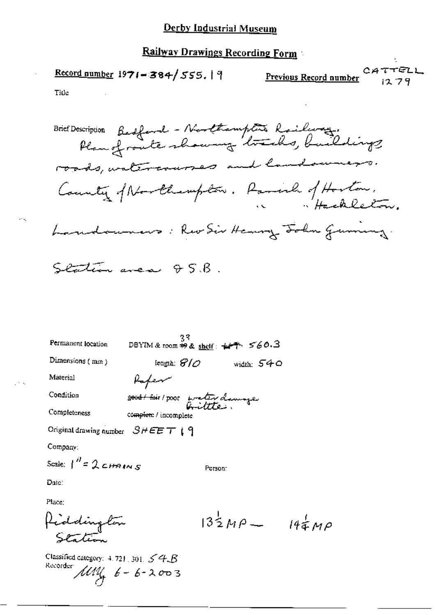Railway Drawings Recording Form

Record number 1971-384/555.19

Previous Record number

τπ@LL ся 1279

÷.

Tide

 $\sim$   $\sim$ 

 $\sim$   $\sim$ 

| Brief Description Bedfand - Northampton Railway.<br>Plan of route showing tracks, buildings |
|---------------------------------------------------------------------------------------------|
| roads, watercourses and landsweezs.                                                         |
| County of Northernplow. Parish of Hoston.                                                   |
| Landouners: Rev Sir Henry John Gummy.                                                       |
| Station area & S.B.                                                                         |

| Permanent location                  | 33<br>DBYIM & room $\Rightarrow$ & shelf: $\neq$ $\uparrow$ $\leq$ 60.3 |         |            |
|-------------------------------------|-------------------------------------------------------------------------|---------|------------|
| Dimensions (mm)                     | lengih: $\mathscr{G}/\mathscr{O}$                                       |         | width: 540 |
| Materia1                            | Rafen                                                                   |         |            |
| Condition                           | 2004 this poor water damage                                             |         |            |
| Completeness                        | complete / incomplete                                                   |         |            |
| Original drawing number $SHEET$ (9) |                                                                         |         |            |
| Company:                            |                                                                         |         |            |
| Scale: $1'' = 2c$ HAINS             |                                                                         | Person: |            |

Date:

Place:

$$
\beta_{\text{c}^{2}}
$$
  $13\frac{1}{2}MP - 19\frac{1}{4}MP$   
Setation

Classified category: 4.721, 301, 54 B<br>Recorder  $\mu$ MU<sub>G</sub>  $6 - 6 - 2003$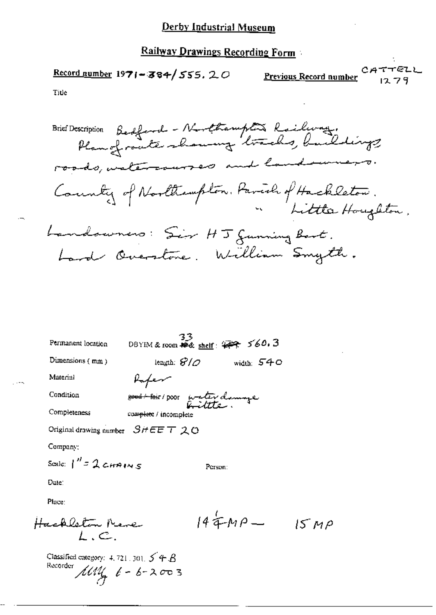## **Railway Drawings Recording Form**

CATTELL  $Record number 1971 - 384 / 555. 20$ Previous Record number 1279 Title

Brief Description Bedford - Northampton Railway.<br>Rangfrante-showing tracks, buildings County of Northampton, Parish of Hackleton. Little Houghton, Landowners: Sir HJ Junning Bart. Land Overstone. William Smyth.

08YIM & room # 2 shelf:  $477.560.3$ Permanent location Dimensions  $(mm)$ length:  $\mathcal{G}/\mathcal{O}$ width: 540 Material Refer Condition oved their poor water damage Completeness complete / incomplete Original drawing number  $S$  /  $E E T 20$ Company: Scale:  $1''$  =  $2$  chains Person: Date: Place:

Hachlelem Nene 
$$
144MP - 15MP
$$

Classified category: 4, 721, 301,  $5^{\prime}$  +  $\beta$ Recorder  $\text{MW}$   $6 - 6 - 2003$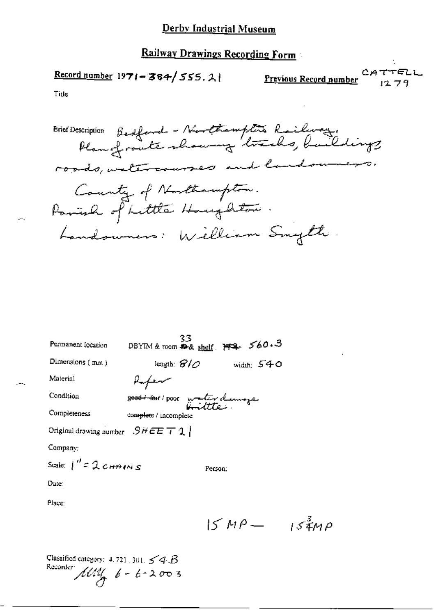Record number 1971-384/555.21

CATTELL Previous Record number  $1279$ 

Title

Brief Description Bedford - Northempters Railway.<br>Plan of route showing tracks, buildings roads, watercourses and landowners. County of Northampton. Parish of Little Houghton. Landowners: William Snyth.

| Permanent location                                    | 33<br>DBYIM & room $R_{\&}$ shelf $H_4$ $560.3$       |              |
|-------------------------------------------------------|-------------------------------------------------------|--------------|
| Dimensions (mm)                                       | length: $\mathcal{B}/\mathcal{O}$                     | width: $540$ |
| Material                                              | Refere                                                |              |
| Condition                                             | 2000 - 2001 poor water demography<br>Contract and the |              |
| Completeness                                          | complete / incomplete                                 |              |
| Original drawing number $\left  S \# E E \right  T 1$ |                                                       |              |
| Company:                                              |                                                       |              |
| Scale: $1'' = 2 \, \text{cmains}$                     | Person:                                               |              |
| Date:                                                 |                                                       |              |
| Place:                                                |                                                       |              |

 $15MP - 15M^2$ 

Classified category:  $4.721.301.54B$ Recorder  $\mu$   $\mu$   $\phi$  -  $\phi$  - 2003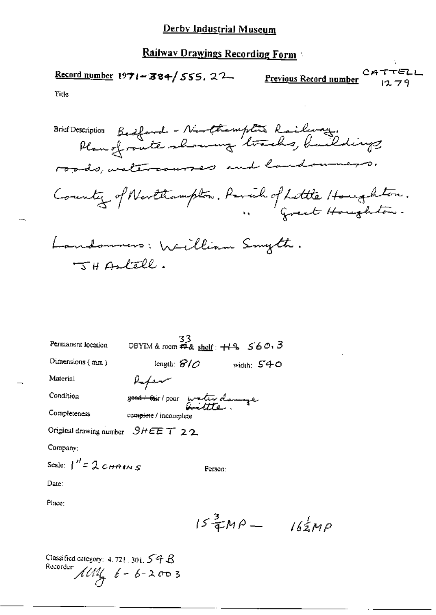Record number 1971-384/555, 22

CATTELL **Previous Record number** 

 $1279$ 

Tide

Brief Description Bedford - Northemptis Railway.<br>Plan of route showing tracks, buildings roads, insternances and landowners. County of Northampton, Perich of Lettle Houghton. Landonners: William Smyth.  $T + Antell.$ 

| Permanent location                 | 33<br>DBYIM & room $\overline{A}$ & shelf: $+1$ <sup>q</sup> $560.3$ |              |
|------------------------------------|----------------------------------------------------------------------|--------------|
| Dimensions (mm)                    | length: $\mathcal{G}/\mathcal{O}$                                    | width: $540$ |
| Material                           | Kafem                                                                |              |
| Condition                          | 2004 - Coir / pour water demige                                      |              |
| Completeness                       | complete / incomplete                                                |              |
| Original drawing number $SHEET$ 22 |                                                                      |              |
| Company:                           |                                                                      |              |
| Scale: $1'' = 2 cm1 m s$           |                                                                      | Person:      |
| Date:                              |                                                                      |              |
|                                    |                                                                      |              |

Place:

 $15\frac{3}{4}MP - 162MP$ 

Classified category:  $4.721.301.54B$ Recorder  $\hat{M}$   $\hat{M}$   $\hat{t}$  - 6-2003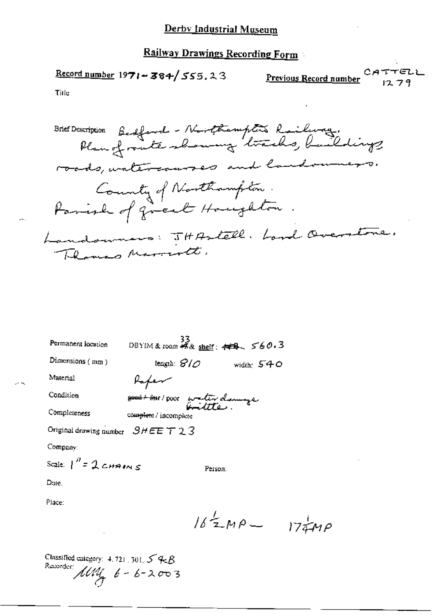CATTELL Record number  $1971 - 384 / 555.23$ Previous Record number 1279

Title

Brief Description Bedford - Northemptis Railway.<br>Plan of route slowing tracks, buildings roads, watercauses and landowners. County of Northampton.<br>Parish of great Houghton. Landowners: JHAstell. Lord Overstone. Themas Marriott

| Permanent location                            |                                   | $33$<br>DBYIM&room 45& <u>shelf</u> : 449, 560.3 |
|-----------------------------------------------|-----------------------------------|--------------------------------------------------|
| Dimensions $(mn)$                             | lengih: $\mathscr{G}/\mathscr{O}$ | width: $540$                                     |
| Material                                      | Rafen                             |                                                  |
| Condition                                     | 2004 tam poor waterdenings        |                                                  |
| Completeness                                  | complete / incomplete             |                                                  |
| Original drawing number $\mathcal{S}HEE$ T 23 |                                   |                                                  |
| Company:                                      |                                   |                                                  |
| Scale: $\int_0^H = 2cH^2 \sin s$              |                                   | Person:                                          |

Dute.

Place:

 $162MP - 17MP$ 

Classified category:  $4.721 \cdot 301$ ,  $54.8$ Recorder:  $\mu$   $\mu$   $\mu$   $\beta$  -  $\beta$  -  $\lambda$   $\sigma$   $\sigma$  3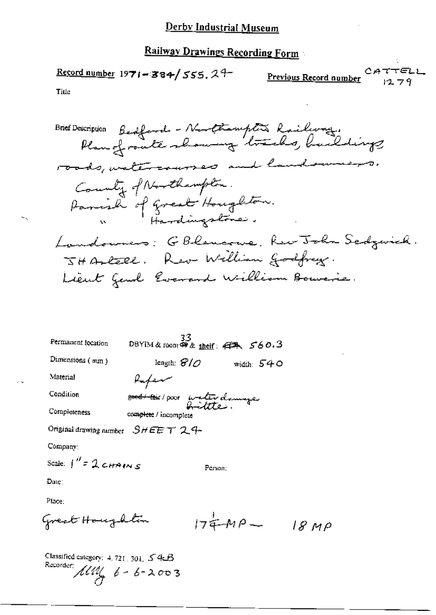**Previous Record number** CATTELL  $\frac{\text{Record number}}{1971 - 384}$  555.2<sup>4-</sup>

Title

Brief Description Bedford - Northampton Railway.<br>Plan of route showing tracks, buildings roads, watercourses and landowners. County of Northampton. Parish of great Houghton.<br>"Hardingstones. Landowners: GBlencoure, Rev John Sedgarick. JHAREEL. Rev William Godfrey. Lieut Gend Everand William Bouverie.

| Permanent location                  | 33<br>DBYIM&room 第& shelf: 日本、560.3 |              |
|-------------------------------------|-------------------------------------|--------------|
| Dimensions (mm)                     | length: $\mathcal{C}/\mathcal{O}$   | width: $540$ |
| Material                            | Rafen                               |              |
| Condition                           | good toir poor water damage         |              |
| Completeness                        | complete / incomplete               |              |
| Original drawing number $SHEET24$ - |                                     |              |
| Company:                            |                                     |              |

Date:

Place:

Great Heugaltim 
$$
174-MP-18MP
$$

Person:

Classified category: 4, 721, 301, 54B Recorder:  $\pi$  6 - 6 - 2003

Scale:  $\int_0^{\mathcal{U}} z^2 \mathcal{L} t A \mathcal{L} t A$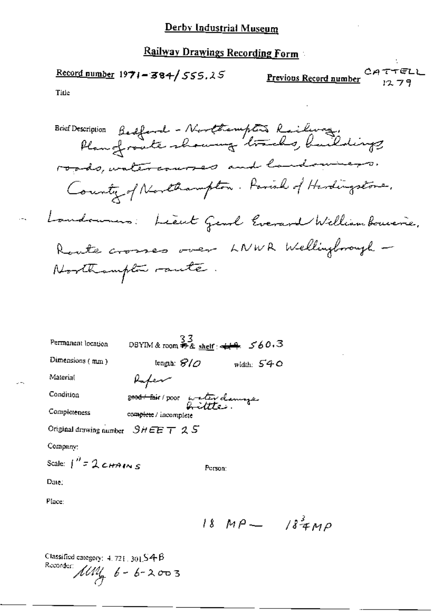Record number  $1971 - 384 / 555.25$ 

**Previous Record number** CATTELL

Title

Brief Description Bedford - Northampton Railway, roads, watercourses and landowners. Country of Northampton. Parish of Hardingstone. Landoumers: Lieut Gend Everent William Bouverie. Route crosses over LNWR Wellingbrough -Northampton raute.

| Permanent location                     | $33$<br>DBYIM & room # & shelf: $\leftarrow$ 4 560.3 |         |              |
|----------------------------------------|------------------------------------------------------|---------|--------------|
| Dimensions $(mm)$                      | tengih: $\mathcal{S}/\mathcal{O}$                    |         | width: $540$ |
| Material                               | Rafen                                                |         |              |
| Condition                              | 2000 fair poor water clanings                        |         |              |
| Completeness                           | complete / incomplete                                |         |              |
| Original drawing number $SHEET \neq S$ |                                                      |         |              |
| Company:                               |                                                      |         |              |
| Scale: $1^{n}$ = 2 cHAINS              |                                                      | Person: |              |
| Date:                                  |                                                      |         |              |

Place:

 $18MP - 184MP$ 

Classified category:  $4.721.30154B$ Recorder:  $\mu m_4$   $6 - 6 - 2003$